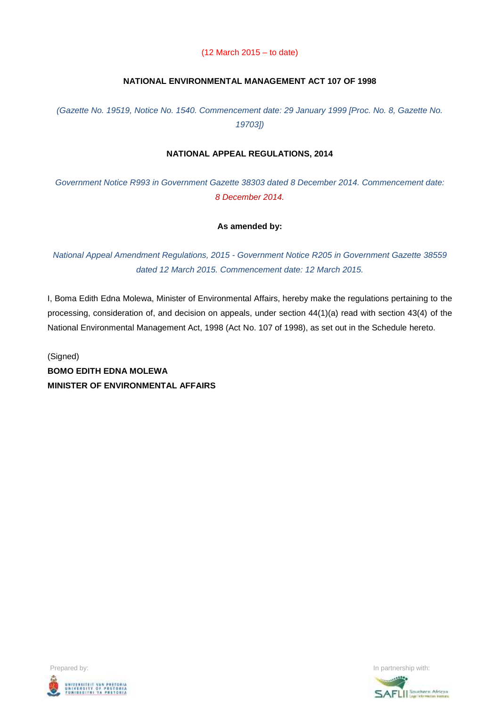#### (12 March 2015 – to date)

### **NATIONAL ENVIRONMENTAL MANAGEMENT ACT 107 OF 1998**

*(Gazette No. 19519, Notice No. 1540. Commencement date: 29 January 1999 [Proc. No. 8, Gazette No. 19703])*

#### **NATIONAL APPEAL REGULATIONS, 2014**

*Government Notice R993 in Government Gazette 38303 dated 8 December 2014. Commencement date: 8 December 2014.*

### **As amended by:**

*National Appeal Amendment Regulations, 2015 - Government Notice R205 in Government Gazette 38559 dated 12 March 2015. Commencement date: 12 March 2015.*

I, Boma Edith Edna Molewa, Minister of Environmental Affairs, hereby make the regulations pertaining to the processing, consideration of, and decision on appeals, under section 44(1)(a) read with section 43(4) of the National Environmental Management Act, 1998 (Act No. 107 of 1998), as set out in the Schedule hereto.

(Signed) **BOMO EDITH EDNA MOLEWA MINISTER OF ENVIRONMENTAL AFFAIRS**



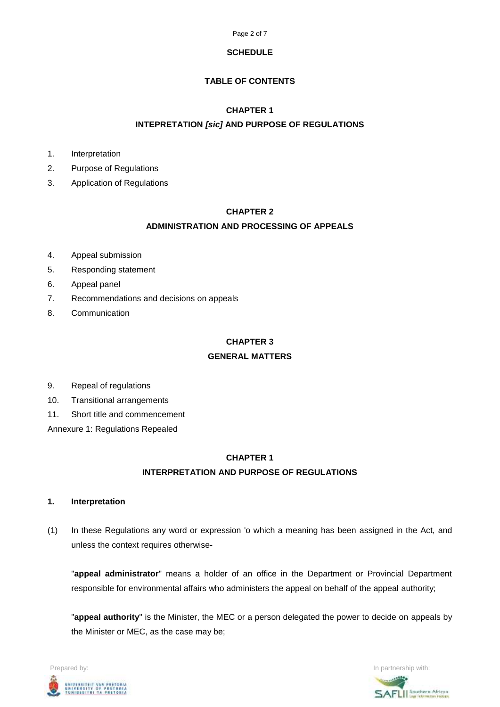

#### **SCHEDULE**

# **TABLE OF CONTENTS**

# **CHAPTER 1**

# **INTEPRETATION** *[sic]* **AND PURPOSE OF REGULATIONS**

- 1. Interpretation
- 2. Purpose of Regulations
- 3. Application of Regulations

# **CHAPTER 2**

# **ADMINISTRATION AND PROCESSING OF APPEALS**

- 4. Appeal submission
- 5. Responding statement
- 6. Appeal panel
- 7. Recommendations and decisions on appeals
- 8. Communication

### **CHAPTER 3**

# **GENERAL MATTERS**

- 9. Repeal of regulations
- 10. Transitional arrangements
- 11. Short title and commencement

Annexure 1: Regulations Repealed

# **CHAPTER 1 INTERPRETATION AND PURPOSE OF REGULATIONS**

#### **1. Interpretation**

(1) In these Regulations any word or expression 'o which a meaning has been assigned in the Act, and unless the context requires otherwise-

"**appeal administrator**" means a holder of an office in the Department or Provincial Department responsible for environmental affairs who administers the appeal on behalf of the appeal authority;

"**appeal authority**" is the Minister, the MEC or a person delegated the power to decide on appeals by the Minister or MEC, as the case may be;



SAFLIL<sup>Southern African</sup>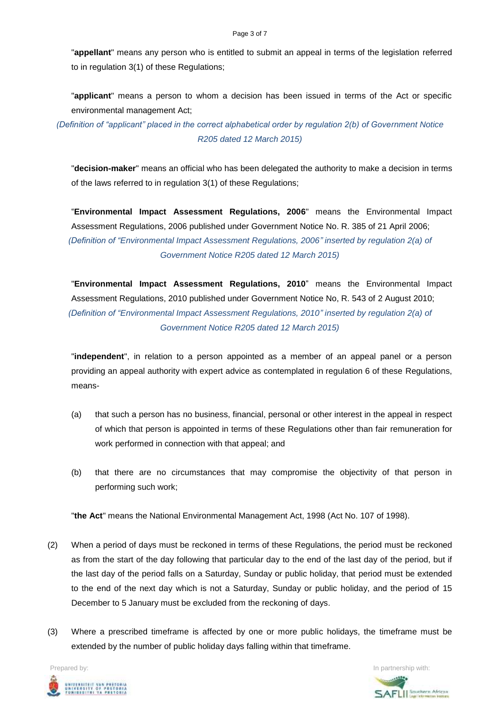"**appellant**" means any person who is entitled to submit an appeal in terms of the legislation referred to in regulation 3(1) of these Regulations;

"**applicant**" means a person to whom a decision has been issued in terms of the Act or specific environmental management Act;

*(Definition of "applicant" placed in the correct alphabetical order by regulation 2(b) of Government Notice R205 dated 12 March 2015)*

"**decision-maker**" means an official who has been delegated the authority to make a decision in terms of the laws referred to in regulation 3(1) of these Regulations;

"**Environmental Impact Assessment Regulations, 2006**" means the Environmental Impact Assessment Regulations, 2006 published under Government Notice No. R. 385 of 21 April 2006; *(Definition of "Environmental Impact Assessment Regulations, 2006" inserted by regulation 2(a) of Government Notice R205 dated 12 March 2015)*

"**Environmental Impact Assessment Regulations, 2010**" means the Environmental Impact Assessment Regulations, 2010 published under Government Notice No, R. 543 of 2 August 2010; *(Definition of "Environmental Impact Assessment Regulations, 2010" inserted by regulation 2(a) of Government Notice R205 dated 12 March 2015)*

"**independent**", in relation to a person appointed as a member of an appeal panel or a person providing an appeal authority with expert advice as contemplated in regulation 6 of these Regulations, means-

- (a) that such a person has no business, financial, personal or other interest in the appeal in respect of which that person is appointed in terms of these Regulations other than fair remuneration for work performed in connection with that appeal; and
- (b) that there are no circumstances that may compromise the objectivity of that person in performing such work;

"**the Act**" means the National Environmental Management Act, 1998 (Act No. 107 of 1998).

- (2) When a period of days must be reckoned in terms of these Regulations, the period must be reckoned as from the start of the day following that particular day to the end of the last day of the period, but if the last day of the period falls on a Saturday, Sunday or public holiday, that period must be extended to the end of the next day which is not a Saturday, Sunday or public holiday, and the period of 15 December to 5 January must be excluded from the reckoning of days.
- (3) Where a prescribed timeframe is affected by one or more public holidays, the timeframe must be extended by the number of public holiday days falling within that timeframe.

**Prepared by:** In partnership with:  $\frac{1}{2}$  in partnership with:  $\frac{1}{2}$  in partnership with: .<br>Iniversity of Pretoria<br>Funibesithi ya Pretoria<br>Funibesithi ya Pretoria

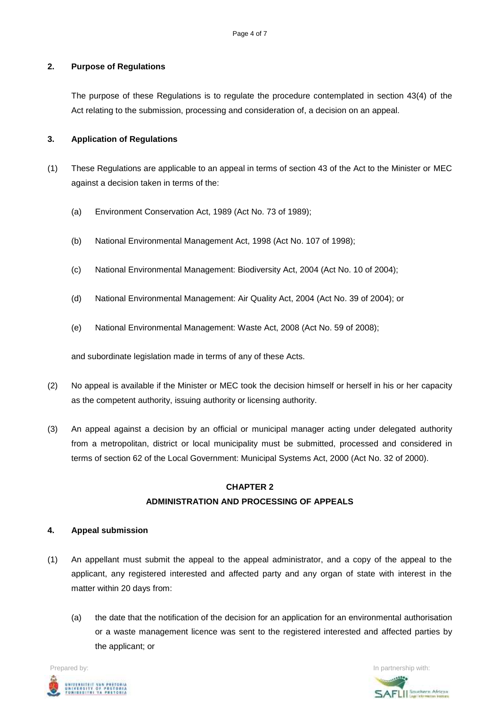# **2. Purpose of Regulations**

The purpose of these Regulations is to regulate the procedure contemplated in section 43(4) of the Act relating to the submission, processing and consideration of, a decision on an appeal.

#### **3. Application of Regulations**

- (1) These Regulations are applicable to an appeal in terms of section 43 of the Act to the Minister or MEC against a decision taken in terms of the:
	- (a) Environment Conservation Act, 1989 (Act No. 73 of 1989);
	- (b) National Environmental Management Act, 1998 (Act No. 107 of 1998);
	- (c) National Environmental Management: Biodiversity Act, 2004 (Act No. 10 of 2004);
	- (d) National Environmental Management: Air Quality Act, 2004 (Act No. 39 of 2004); or
	- (e) National Environmental Management: Waste Act, 2008 (Act No. 59 of 2008);

and subordinate legislation made in terms of any of these Acts.

- (2) No appeal is available if the Minister or MEC took the decision himself or herself in his or her capacity as the competent authority, issuing authority or licensing authority.
- (3) An appeal against a decision by an official or municipal manager acting under delegated authority from a metropolitan, district or local municipality must be submitted, processed and considered in terms of section 62 of the Local Government: Municipal Systems Act, 2000 (Act No. 32 of 2000).

# **CHAPTER 2 ADMINISTRATION AND PROCESSING OF APPEALS**

#### **4. Appeal submission**

- (1) An appellant must submit the appeal to the appeal administrator, and a copy of the appeal to the applicant, any registered interested and affected party and any organ of state with interest in the matter within 20 days from:
	- (a) the date that the notification of the decision for an application for an environmental authorisation or a waste management licence was sent to the registered interested and affected parties by the applicant; or



SAFLII Southern African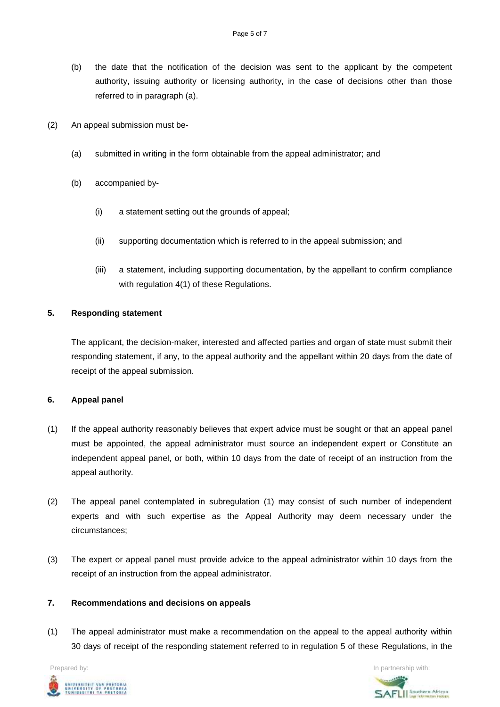- (b) the date that the notification of the decision was sent to the applicant by the competent authority, issuing authority or licensing authority, in the case of decisions other than those referred to in paragraph (a).
- (2) An appeal submission must be-
	- (a) submitted in writing in the form obtainable from the appeal administrator; and
	- (b) accompanied by-
		- (i) a statement setting out the grounds of appeal;
		- (ii) supporting documentation which is referred to in the appeal submission; and
		- (iii) a statement, including supporting documentation, by the appellant to confirm compliance with regulation 4(1) of these Regulations.

#### **5. Responding statement**

The applicant, the decision-maker, interested and affected parties and organ of state must submit their responding statement, if any, to the appeal authority and the appellant within 20 days from the date of receipt of the appeal submission.

#### **6. Appeal panel**

- (1) If the appeal authority reasonably believes that expert advice must be sought or that an appeal panel must be appointed, the appeal administrator must source an independent expert or Constitute an independent appeal panel, or both, within 10 days from the date of receipt of an instruction from the appeal authority.
- (2) The appeal panel contemplated in subregulation (1) may consist of such number of independent experts and with such expertise as the Appeal Authority may deem necessary under the circumstances;
- (3) The expert or appeal panel must provide advice to the appeal administrator within 10 days from the receipt of an instruction from the appeal administrator.

# **7. Recommendations and decisions on appeals**

(1) The appeal administrator must make a recommendation on the appeal to the appeal authority within 30 days of receipt of the responding statement referred to in regulation 5 of these Regulations, in the



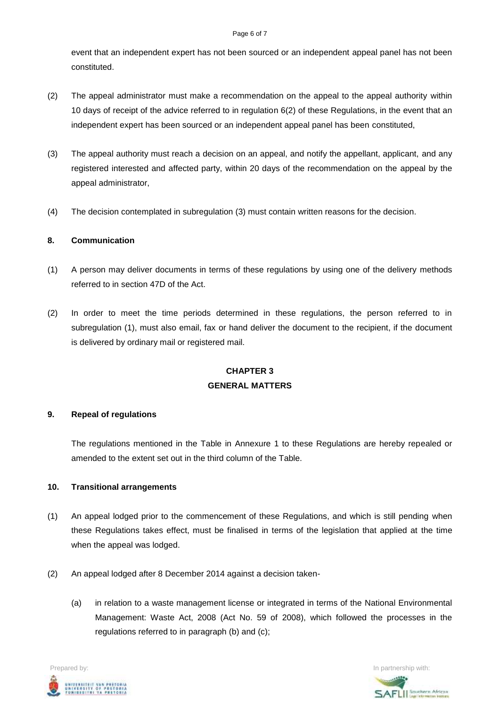#### Page 6 of 7

event that an independent expert has not been sourced or an independent appeal panel has not been constituted.

- (2) The appeal administrator must make a recommendation on the appeal to the appeal authority within 10 days of receipt of the advice referred to in regulation 6(2) of these Regulations, in the event that an independent expert has been sourced or an independent appeal panel has been constituted,
- (3) The appeal authority must reach a decision on an appeal, and notify the appellant, applicant, and any registered interested and affected party, within 20 days of the recommendation on the appeal by the appeal administrator,
- (4) The decision contemplated in subregulation (3) must contain written reasons for the decision.

# **8. Communication**

- (1) A person may deliver documents in terms of these regulations by using one of the delivery methods referred to in section 47D of the Act.
- (2) In order to meet the time periods determined in these regulations, the person referred to in subregulation (1), must also email, fax or hand deliver the document to the recipient, if the document is delivered by ordinary mail or registered mail.

# **CHAPTER 3 GENERAL MATTERS**

# **9. Repeal of regulations**

The regulations mentioned in the Table in Annexure 1 to these Regulations are hereby repealed or amended to the extent set out in the third column of the Table.

# **10. Transitional arrangements**

- (1) An appeal lodged prior to the commencement of these Regulations, and which is still pending when these Regulations takes effect, must be finalised in terms of the legislation that applied at the time when the appeal was lodged.
- (2) An appeal lodged after 8 December 2014 against a decision taken-
	- (a) in relation to a waste management license or integrated in terms of the National Environmental Management: Waste Act, 2008 (Act No. 59 of 2008), which followed the processes in the regulations referred to in paragraph (b) and (c);



**SAFLIL** Southern African